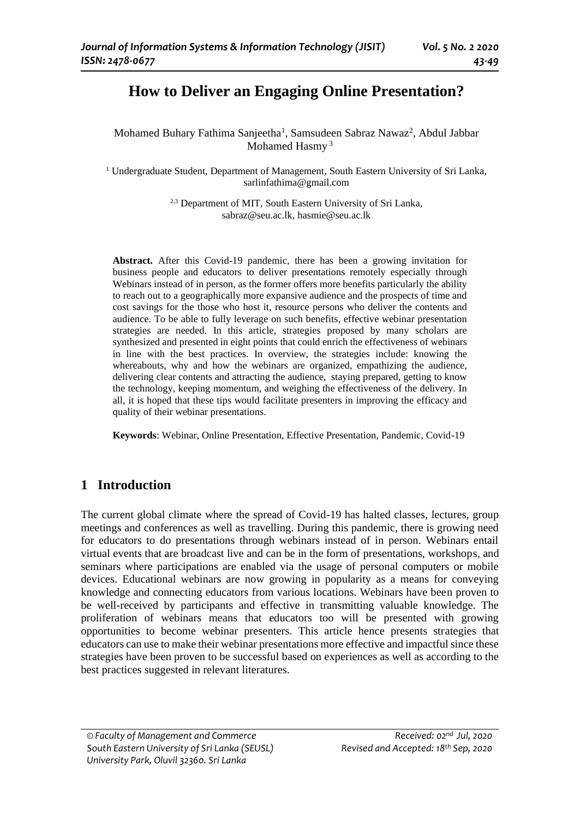# **How to Deliver an Engaging Online Presentation?**

Mohamed Buhary Fathima Sanjeetha<sup>1</sup>, Samsudeen Sabraz Nawaz<sup>2</sup>, Abdul Jabbar Mohamed Hasmy <sup>3</sup>

<sup>1</sup> Undergraduate Student, Department of Management, South Eastern University of Sri Lanka, sarlinfathima@gmail.com

> <sup>2,3</sup> Department of MIT, South Eastern University of Sri Lanka, sabraz@seu.ac.lk, hasmie@seu.ac.lk

**Abstract.** After this Covid-19 pandemic, there has been a growing invitation for business people and educators to deliver presentations remotely especially through Webinars instead of in person, as the former offers more benefits particularly the ability to reach out to a geographically more expansive audience and the prospects of time and cost savings for the those who host it, resource persons who deliver the contents and audience. To be able to fully leverage on such benefits, effective webinar presentation strategies are needed. In this article, strategies proposed by many scholars are synthesized and presented in eight points that could enrich the effectiveness of webinars in line with the best practices. In overview, the strategies include: knowing the whereabouts, why and how the webinars are organized, empathizing the audience, delivering clear contents and attracting the audience, staying prepared, getting to know the technology, keeping momentum, and weighing the effectiveness of the delivery. In all, it is hoped that these tips would facilitate presenters in improving the efficacy and quality of their webinar presentations.

**Keywords**: Webinar, Online Presentation, Effective Presentation, Pandemic, Covid-19

## **1 Introduction**

The current global climate where the spread of Covid-19 has halted classes, lectures, group meetings and conferences as well as travelling. During this pandemic, there is growing need for educators to do presentations through webinars instead of in person. Webinars entail virtual events that are broadcast live and can be in the form of presentations, workshops, and seminars where participations are enabled via the usage of personal computers or mobile devices. Educational webinars are now growing in popularity as a means for conveying knowledge and connecting educators from various locations. Webinars have been proven to be well-received by participants and effective in transmitting valuable knowledge. The proliferation of webinars means that educators too will be presented with growing opportunities to become webinar presenters. This article hence presents strategies that educators can use to make their webinar presentations more effective and impactful since these strategies have been proven to be successful based on experiences as well as according to the best practices suggested in relevant literatures.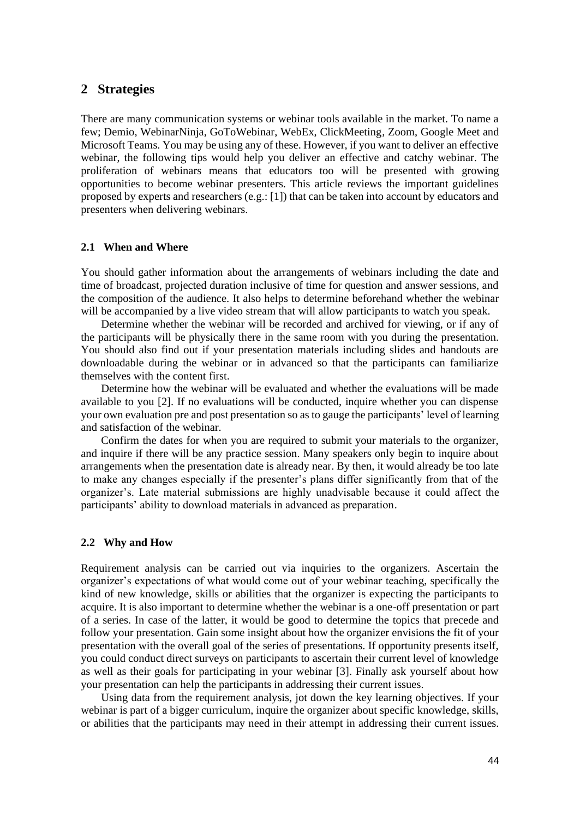## **2 Strategies**

There are many communication systems or webinar tools available in the market. To name a few; Demio, WebinarNinja, GoToWebinar, WebEx, ClickMeeting, Zoom, Google Meet and Microsoft Teams. You may be using any of these. However, if you want to deliver an effective webinar, the following tips would help you deliver an effective and catchy webinar. The proliferation of webinars means that educators too will be presented with growing opportunities to become webinar presenters. This article reviews the important guidelines proposed by experts and researchers (e.g.: [1]) that can be taken into account by educators and presenters when delivering webinars.

#### **2.1 When and Where**

You should gather information about the arrangements of webinars including the date and time of broadcast, projected duration inclusive of time for question and answer sessions, and the composition of the audience. It also helps to determine beforehand whether the webinar will be accompanied by a live video stream that will allow participants to watch you speak.

Determine whether the webinar will be recorded and archived for viewing, or if any of the participants will be physically there in the same room with you during the presentation. You should also find out if your presentation materials including slides and handouts are downloadable during the webinar or in advanced so that the participants can familiarize themselves with the content first.

Determine how the webinar will be evaluated and whether the evaluations will be made available to you [2]. If no evaluations will be conducted, inquire whether you can dispense your own evaluation pre and post presentation so as to gauge the participants' level of learning and satisfaction of the webinar.

Confirm the dates for when you are required to submit your materials to the organizer, and inquire if there will be any practice session. Many speakers only begin to inquire about arrangements when the presentation date is already near. By then, it would already be too late to make any changes especially if the presenter's plans differ significantly from that of the organizer's. Late material submissions are highly unadvisable because it could affect the participants' ability to download materials in advanced as preparation.

## **2.2 Why and How**

Requirement analysis can be carried out via inquiries to the organizers. Ascertain the organizer's expectations of what would come out of your webinar teaching, specifically the kind of new knowledge, skills or abilities that the organizer is expecting the participants to acquire. It is also important to determine whether the webinar is a one-off presentation or part of a series. In case of the latter, it would be good to determine the topics that precede and follow your presentation. Gain some insight about how the organizer envisions the fit of your presentation with the overall goal of the series of presentations. If opportunity presents itself, you could conduct direct surveys on participants to ascertain their current level of knowledge as well as their goals for participating in your webinar [3]. Finally ask yourself about how your presentation can help the participants in addressing their current issues.

Using data from the requirement analysis, jot down the key learning objectives. If your webinar is part of a bigger curriculum, inquire the organizer about specific knowledge, skills, or abilities that the participants may need in their attempt in addressing their current issues.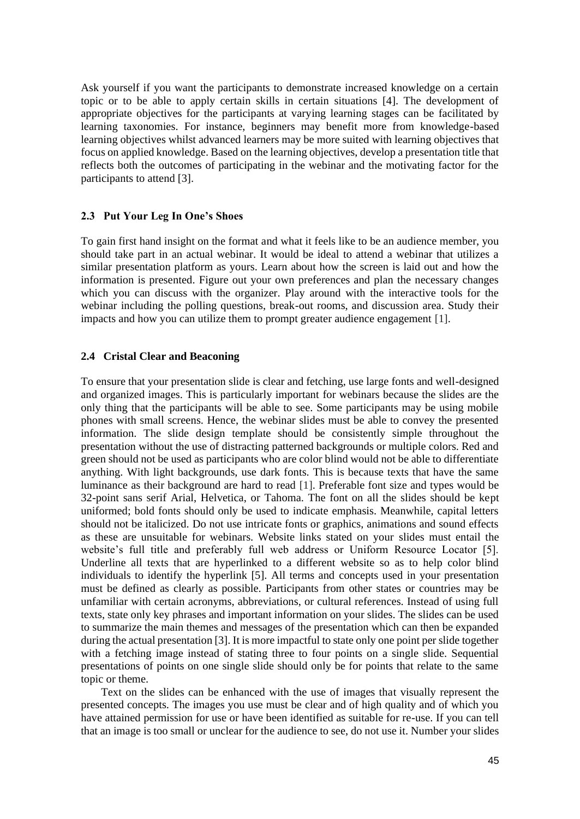Ask yourself if you want the participants to demonstrate increased knowledge on a certain topic or to be able to apply certain skills in certain situations [4]. The development of appropriate objectives for the participants at varying learning stages can be facilitated by learning taxonomies. For instance, beginners may benefit more from knowledge-based learning objectives whilst advanced learners may be more suited with learning objectives that focus on applied knowledge. Based on the learning objectives, develop a presentation title that reflects both the outcomes of participating in the webinar and the motivating factor for the participants to attend [3].

#### **2.3 Put Your Leg In One's Shoes**

To gain first hand insight on the format and what it feels like to be an audience member, you should take part in an actual webinar. It would be ideal to attend a webinar that utilizes a similar presentation platform as yours. Learn about how the screen is laid out and how the information is presented. Figure out your own preferences and plan the necessary changes which you can discuss with the organizer. Play around with the interactive tools for the webinar including the polling questions, break-out rooms, and discussion area. Study their impacts and how you can utilize them to prompt greater audience engagement [1].

#### **2.4 Cristal Clear and Beaconing**

To ensure that your presentation slide is clear and fetching, use large fonts and well-designed and organized images. This is particularly important for webinars because the slides are the only thing that the participants will be able to see. Some participants may be using mobile phones with small screens. Hence, the webinar slides must be able to convey the presented information. The slide design template should be consistently simple throughout the presentation without the use of distracting patterned backgrounds or multiple colors. Red and green should not be used as participants who are color blind would not be able to differentiate anything. With light backgrounds, use dark fonts. This is because texts that have the same luminance as their background are hard to read [1]. Preferable font size and types would be 32-point sans serif Arial, Helvetica, or Tahoma. The font on all the slides should be kept uniformed; bold fonts should only be used to indicate emphasis. Meanwhile, capital letters should not be italicized. Do not use intricate fonts or graphics, animations and sound effects as these are unsuitable for webinars. Website links stated on your slides must entail the website's full title and preferably full web address or Uniform Resource Locator [5]. Underline all texts that are hyperlinked to a different website so as to help color blind individuals to identify the hyperlink [5]. All terms and concepts used in your presentation must be defined as clearly as possible. Participants from other states or countries may be unfamiliar with certain acronyms, abbreviations, or cultural references. Instead of using full texts, state only key phrases and important information on your slides. The slides can be used to summarize the main themes and messages of the presentation which can then be expanded during the actual presentation [3]. It is more impactful to state only one point per slide together with a fetching image instead of stating three to four points on a single slide. Sequential presentations of points on one single slide should only be for points that relate to the same topic or theme.

Text on the slides can be enhanced with the use of images that visually represent the presented concepts. The images you use must be clear and of high quality and of which you have attained permission for use or have been identified as suitable for re-use. If you can tell that an image is too small or unclear for the audience to see, do not use it. Number your slides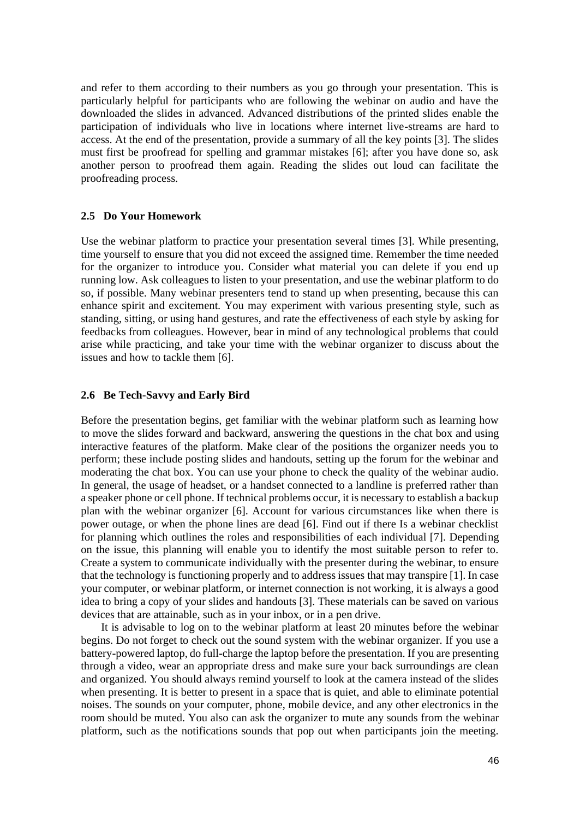and refer to them according to their numbers as you go through your presentation. This is particularly helpful for participants who are following the webinar on audio and have the downloaded the slides in advanced. Advanced distributions of the printed slides enable the participation of individuals who live in locations where internet live-streams are hard to access. At the end of the presentation, provide a summary of all the key points [3]. The slides must first be proofread for spelling and grammar mistakes [6]; after you have done so, ask another person to proofread them again. Reading the slides out loud can facilitate the proofreading process.

#### **2.5 Do Your Homework**

Use the webinar platform to practice your presentation several times [3]. While presenting, time yourself to ensure that you did not exceed the assigned time. Remember the time needed for the organizer to introduce you. Consider what material you can delete if you end up running low. Ask colleagues to listen to your presentation, and use the webinar platform to do so, if possible. Many webinar presenters tend to stand up when presenting, because this can enhance spirit and excitement. You may experiment with various presenting style, such as standing, sitting, or using hand gestures, and rate the effectiveness of each style by asking for feedbacks from colleagues. However, bear in mind of any technological problems that could arise while practicing, and take your time with the webinar organizer to discuss about the issues and how to tackle them [6].

#### **2.6 Be Tech-Savvy and Early Bird**

Before the presentation begins, get familiar with the webinar platform such as learning how to move the slides forward and backward, answering the questions in the chat box and using interactive features of the platform. Make clear of the positions the organizer needs you to perform; these include posting slides and handouts, setting up the forum for the webinar and moderating the chat box. You can use your phone to check the quality of the webinar audio. In general, the usage of headset, or a handset connected to a landline is preferred rather than a speaker phone or cell phone. If technical problems occur, it is necessary to establish a backup plan with the webinar organizer [6]. Account for various circumstances like when there is power outage, or when the phone lines are dead [6]. Find out if there Is a webinar checklist for planning which outlines the roles and responsibilities of each individual [7]. Depending on the issue, this planning will enable you to identify the most suitable person to refer to. Create a system to communicate individually with the presenter during the webinar, to ensure that the technology is functioning properly and to address issues that may transpire [1]. In case your computer, or webinar platform, or internet connection is not working, it is always a good idea to bring a copy of your slides and handouts [3]. These materials can be saved on various devices that are attainable, such as in your inbox, or in a pen drive.

It is advisable to log on to the webinar platform at least 20 minutes before the webinar begins. Do not forget to check out the sound system with the webinar organizer. If you use a battery-powered laptop, do full-charge the laptop before the presentation. If you are presenting through a video, wear an appropriate dress and make sure your back surroundings are clean and organized. You should always remind yourself to look at the camera instead of the slides when presenting. It is better to present in a space that is quiet, and able to eliminate potential noises. The sounds on your computer, phone, mobile device, and any other electronics in the room should be muted. You also can ask the organizer to mute any sounds from the webinar platform, such as the notifications sounds that pop out when participants join the meeting.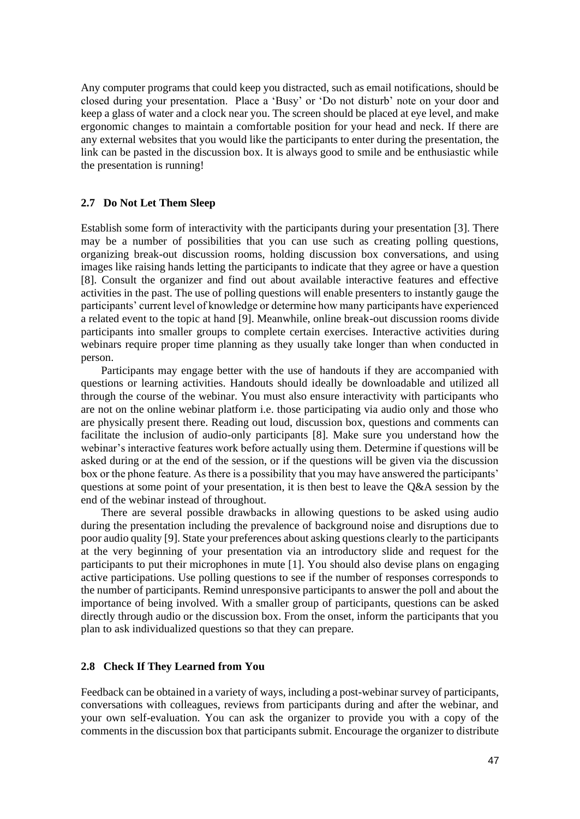Any computer programs that could keep you distracted, such as email notifications, should be closed during your presentation. Place a 'Busy' or 'Do not disturb' note on your door and keep a glass of water and a clock near you. The screen should be placed at eye level, and make ergonomic changes to maintain a comfortable position for your head and neck. If there are any external websites that you would like the participants to enter during the presentation, the link can be pasted in the discussion box. It is always good to smile and be enthusiastic while the presentation is running!

## **2.7 Do Not Let Them Sleep**

Establish some form of interactivity with the participants during your presentation [3]. There may be a number of possibilities that you can use such as creating polling questions, organizing break-out discussion rooms, holding discussion box conversations, and using images like raising hands letting the participants to indicate that they agree or have a question [8]. Consult the organizer and find out about available interactive features and effective activities in the past. The use of polling questions will enable presenters to instantly gauge the participants' current level of knowledge or determine how many participants have experienced a related event to the topic at hand [9]. Meanwhile, online break-out discussion rooms divide participants into smaller groups to complete certain exercises. Interactive activities during webinars require proper time planning as they usually take longer than when conducted in person.

Participants may engage better with the use of handouts if they are accompanied with questions or learning activities. Handouts should ideally be downloadable and utilized all through the course of the webinar. You must also ensure interactivity with participants who are not on the online webinar platform i.e. those participating via audio only and those who are physically present there. Reading out loud, discussion box, questions and comments can facilitate the inclusion of audio-only participants [8]. Make sure you understand how the webinar's interactive features work before actually using them. Determine if questions will be asked during or at the end of the session, or if the questions will be given via the discussion box or the phone feature. As there is a possibility that you may have answered the participants' questions at some point of your presentation, it is then best to leave the Q&A session by the end of the webinar instead of throughout.

There are several possible drawbacks in allowing questions to be asked using audio during the presentation including the prevalence of background noise and disruptions due to poor audio quality [9]. State your preferences about asking questions clearly to the participants at the very beginning of your presentation via an introductory slide and request for the participants to put their microphones in mute [1]. You should also devise plans on engaging active participations. Use polling questions to see if the number of responses corresponds to the number of participants. Remind unresponsive participants to answer the poll and about the importance of being involved. With a smaller group of participants, questions can be asked directly through audio or the discussion box. From the onset, inform the participants that you plan to ask individualized questions so that they can prepare.

#### **2.8 Check If They Learned from You**

Feedback can be obtained in a variety of ways, including a post-webinar survey of participants, conversations with colleagues, reviews from participants during and after the webinar, and your own self-evaluation. You can ask the organizer to provide you with a copy of the comments in the discussion box that participants submit. Encourage the organizer to distribute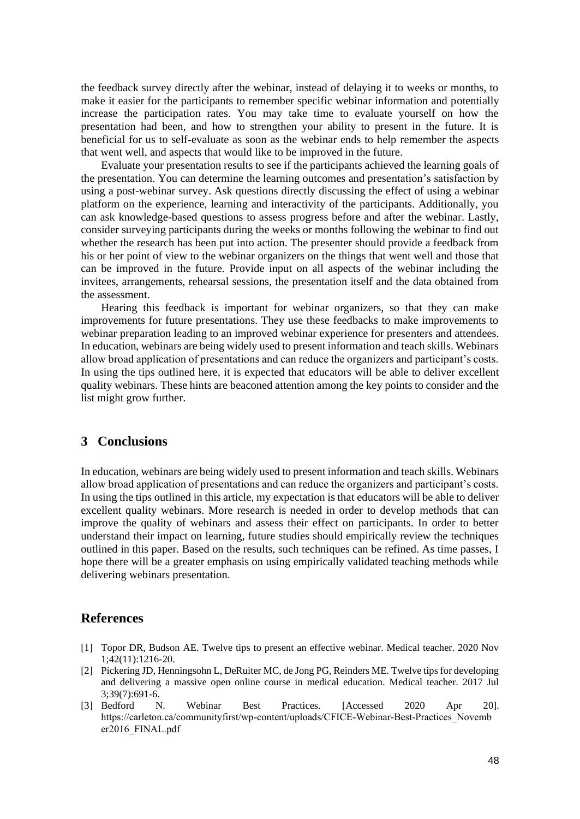the feedback survey directly after the webinar, instead of delaying it to weeks or months, to make it easier for the participants to remember specific webinar information and potentially increase the participation rates. You may take time to evaluate yourself on how the presentation had been, and how to strengthen your ability to present in the future. It is beneficial for us to self-evaluate as soon as the webinar ends to help remember the aspects that went well, and aspects that would like to be improved in the future.

Evaluate your presentation results to see if the participants achieved the learning goals of the presentation. You can determine the learning outcomes and presentation's satisfaction by using a post-webinar survey. Ask questions directly discussing the effect of using a webinar platform on the experience, learning and interactivity of the participants. Additionally, you can ask knowledge-based questions to assess progress before and after the webinar. Lastly, consider surveying participants during the weeks or months following the webinar to find out whether the research has been put into action. The presenter should provide a feedback from his or her point of view to the webinar organizers on the things that went well and those that can be improved in the future. Provide input on all aspects of the webinar including the invitees, arrangements, rehearsal sessions, the presentation itself and the data obtained from the assessment.

Hearing this feedback is important for webinar organizers, so that they can make improvements for future presentations. They use these feedbacks to make improvements to webinar preparation leading to an improved webinar experience for presenters and attendees. In education, webinars are being widely used to present information and teach skills. Webinars allow broad application of presentations and can reduce the organizers and participant's costs. In using the tips outlined here, it is expected that educators will be able to deliver excellent quality webinars. These hints are beaconed attention among the key points to consider and the list might grow further.

## **3 Conclusions**

In education, webinars are being widely used to present information and teach skills. Webinars allow broad application of presentations and can reduce the organizers and participant's costs. In using the tips outlined in this article, my expectation is that educators will be able to deliver excellent quality webinars. More research is needed in order to develop methods that can improve the quality of webinars and assess their effect on participants. In order to better understand their impact on learning, future studies should empirically review the techniques outlined in this paper. Based on the results, such techniques can be refined. As time passes, I hope there will be a greater emphasis on using empirically validated teaching methods while delivering webinars presentation.

## **References**

- [1] Topor DR, Budson AE. Twelve tips to present an effective webinar. Medical teacher. 2020 Nov 1;42(11):1216-20.
- [2] Pickering JD, Henningsohn L, DeRuiter MC, de Jong PG, Reinders ME. Twelve tips for developing and delivering a massive open online course in medical education. Medical teacher. 2017 Jul 3;39(7):691-6.
- [3] Bedford N. Webinar Best Practices. [Accessed 2020 Apr 20]. https://carleton.ca/communityfirst/wp-content/uploads/CFICE-Webinar-Best-Practices\_Novemb er2016\_FINAL.pdf